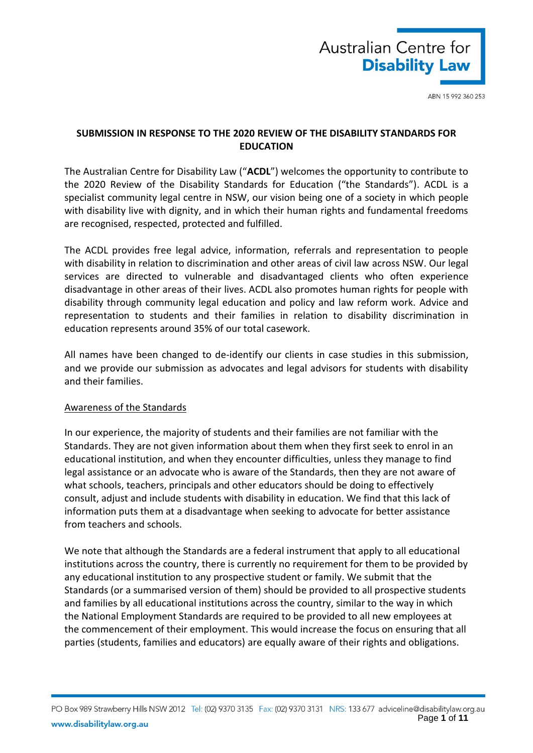

# **SUBMISSION IN RESPONSE TO THE 2020 REVIEW OF THE DISABILITY STANDARDS FOR EDUCATION**

The Australian Centre for Disability Law ("**ACDL**") welcomes the opportunity to contribute to the 2020 Review of the Disability Standards for Education ("the Standards"). ACDL is a specialist community legal centre in NSW, our vision being one of a society in which people with disability live with dignity, and in which their human rights and fundamental freedoms are recognised, respected, protected and fulfilled.

The ACDL provides free legal advice, information, referrals and representation to people with disability in relation to discrimination and other areas of civil law across NSW. Our legal services are directed to vulnerable and disadvantaged clients who often experience disadvantage in other areas of their lives. ACDL also promotes human rights for people with disability through community legal education and policy and law reform work. Advice and representation to students and their families in relation to disability discrimination in education represents around 35% of our total casework.

All names have been changed to de-identify our clients in case studies in this submission, and we provide our submission as advocates and legal advisors for students with disability and their families.

## Awareness of the Standards

In our experience, the majority of students and their families are not familiar with the Standards. They are not given information about them when they first seek to enrol in an educational institution, and when they encounter difficulties, unless they manage to find legal assistance or an advocate who is aware of the Standards, then they are not aware of what schools, teachers, principals and other educators should be doing to effectively consult, adjust and include students with disability in education. We find that this lack of information puts them at a disadvantage when seeking to advocate for better assistance from teachers and schools.

We note that although the Standards are a federal instrument that apply to all educational institutions across the country, there is currently no requirement for them to be provided by any educational institution to any prospective student or family. We submit that the Standards (or a summarised version of them) should be provided to all prospective students and families by all educational institutions across the country, similar to the way in which the National Employment Standards are required to be provided to all new employees at the commencement of their employment. This would increase the focus on ensuring that all parties (students, families and educators) are equally aware of their rights and obligations.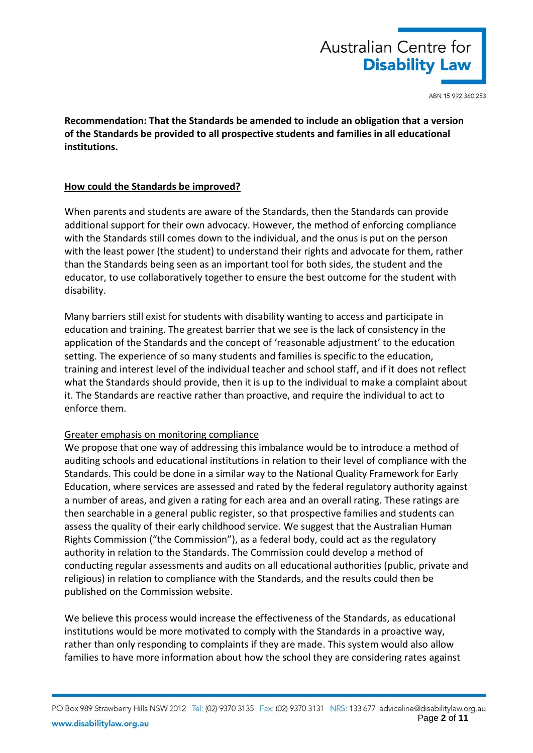

**Recommendation: That the Standards be amended to include an obligation that a version of the Standards be provided to all prospective students and families in all educational institutions.**

## **How could the Standards be improved?**

When parents and students are aware of the Standards, then the Standards can provide additional support for their own advocacy. However, the method of enforcing compliance with the Standards still comes down to the individual, and the onus is put on the person with the least power (the student) to understand their rights and advocate for them, rather than the Standards being seen as an important tool for both sides, the student and the educator, to use collaboratively together to ensure the best outcome for the student with disability.

Many barriers still exist for students with disability wanting to access and participate in education and training. The greatest barrier that we see is the lack of consistency in the application of the Standards and the concept of 'reasonable adjustment' to the education setting. The experience of so many students and families is specific to the education, training and interest level of the individual teacher and school staff, and if it does not reflect what the Standards should provide, then it is up to the individual to make a complaint about it. The Standards are reactive rather than proactive, and require the individual to act to enforce them.

## Greater emphasis on monitoring compliance

We propose that one way of addressing this imbalance would be to introduce a method of auditing schools and educational institutions in relation to their level of compliance with the Standards. This could be done in a similar way to the National Quality Framework for Early Education, where services are assessed and rated by the federal regulatory authority against a number of areas, and given a rating for each area and an overall rating. These ratings are then searchable in a general public register, so that prospective families and students can assess the quality of their early childhood service. We suggest that the Australian Human Rights Commission ("the Commission"), as a federal body, could act as the regulatory authority in relation to the Standards. The Commission could develop a method of conducting regular assessments and audits on all educational authorities (public, private and religious) in relation to compliance with the Standards, and the results could then be published on the Commission website.

We believe this process would increase the effectiveness of the Standards, as educational institutions would be more motivated to comply with the Standards in a proactive way, rather than only responding to complaints if they are made. This system would also allow families to have more information about how the school they are considering rates against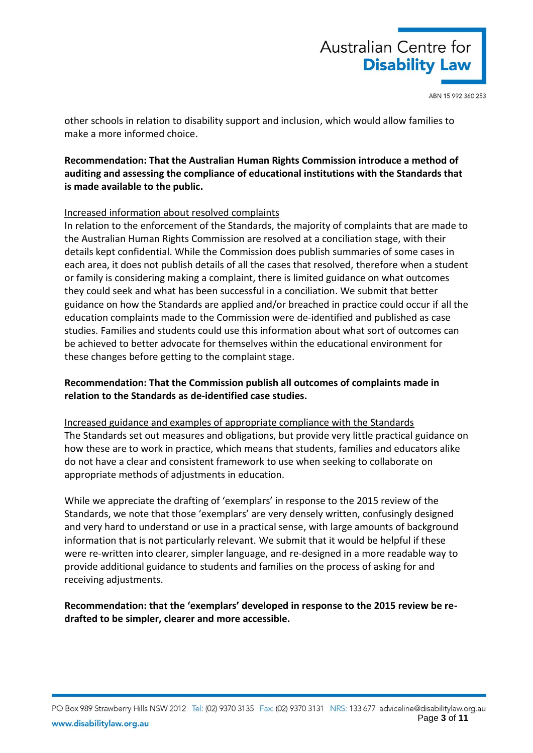

other schools in relation to disability support and inclusion, which would allow families to make a more informed choice.

# **Recommendation: That the Australian Human Rights Commission introduce a method of auditing and assessing the compliance of educational institutions with the Standards that is made available to the public.**

## Increased information about resolved complaints

In relation to the enforcement of the Standards, the majority of complaints that are made to the Australian Human Rights Commission are resolved at a conciliation stage, with their details kept confidential. While the Commission does publish summaries of some cases in each area, it does not publish details of all the cases that resolved, therefore when a student or family is considering making a complaint, there is limited guidance on what outcomes they could seek and what has been successful in a conciliation. We submit that better guidance on how the Standards are applied and/or breached in practice could occur if all the education complaints made to the Commission were de-identified and published as case studies. Families and students could use this information about what sort of outcomes can be achieved to better advocate for themselves within the educational environment for these changes before getting to the complaint stage.

# **Recommendation: That the Commission publish all outcomes of complaints made in relation to the Standards as de-identified case studies.**

Increased guidance and examples of appropriate compliance with the Standards The Standards set out measures and obligations, but provide very little practical guidance on how these are to work in practice, which means that students, families and educators alike do not have a clear and consistent framework to use when seeking to collaborate on appropriate methods of adjustments in education.

While we appreciate the drafting of 'exemplars' in response to the 2015 review of the Standards, we note that those 'exemplars' are very densely written, confusingly designed and very hard to understand or use in a practical sense, with large amounts of background information that is not particularly relevant. We submit that it would be helpful if these were re-written into clearer, simpler language, and re-designed in a more readable way to provide additional guidance to students and families on the process of asking for and receiving adjustments.

**Recommendation: that the 'exemplars' developed in response to the 2015 review be redrafted to be simpler, clearer and more accessible.**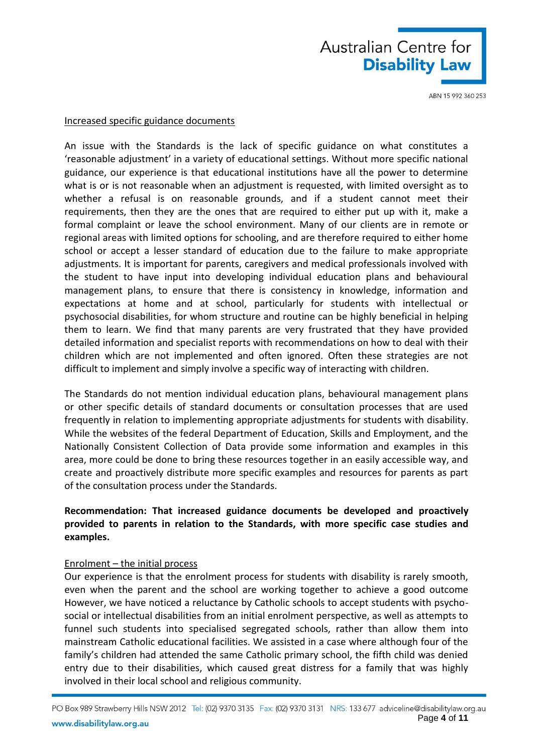

### Increased specific guidance documents

An issue with the Standards is the lack of specific guidance on what constitutes a 'reasonable adjustment' in a variety of educational settings. Without more specific national guidance, our experience is that educational institutions have all the power to determine what is or is not reasonable when an adjustment is requested, with limited oversight as to whether a refusal is on reasonable grounds, and if a student cannot meet their requirements, then they are the ones that are required to either put up with it, make a formal complaint or leave the school environment. Many of our clients are in remote or regional areas with limited options for schooling, and are therefore required to either home school or accept a lesser standard of education due to the failure to make appropriate adjustments. It is important for parents, caregivers and medical professionals involved with the student to have input into developing individual education plans and behavioural management plans, to ensure that there is consistency in knowledge, information and expectations at home and at school, particularly for students with intellectual or psychosocial disabilities, for whom structure and routine can be highly beneficial in helping them to learn. We find that many parents are very frustrated that they have provided detailed information and specialist reports with recommendations on how to deal with their children which are not implemented and often ignored. Often these strategies are not difficult to implement and simply involve a specific way of interacting with children.

The Standards do not mention individual education plans, behavioural management plans or other specific details of standard documents or consultation processes that are used frequently in relation to implementing appropriate adjustments for students with disability. While the websites of the federal Department of Education, Skills and Employment, and the Nationally Consistent Collection of Data provide some information and examples in this area, more could be done to bring these resources together in an easily accessible way, and create and proactively distribute more specific examples and resources for parents as part of the consultation process under the Standards.

# **Recommendation: That increased guidance documents be developed and proactively provided to parents in relation to the Standards, with more specific case studies and examples.**

#### Enrolment – the initial process

Our experience is that the enrolment process for students with disability is rarely smooth, even when the parent and the school are working together to achieve a good outcome However, we have noticed a reluctance by Catholic schools to accept students with psychosocial or intellectual disabilities from an initial enrolment perspective, as well as attempts to funnel such students into specialised segregated schools, rather than allow them into mainstream Catholic educational facilities. We assisted in a case where although four of the family's children had attended the same Catholic primary school, the fifth child was denied entry due to their disabilities, which caused great distress for a family that was highly involved in their local school and religious community.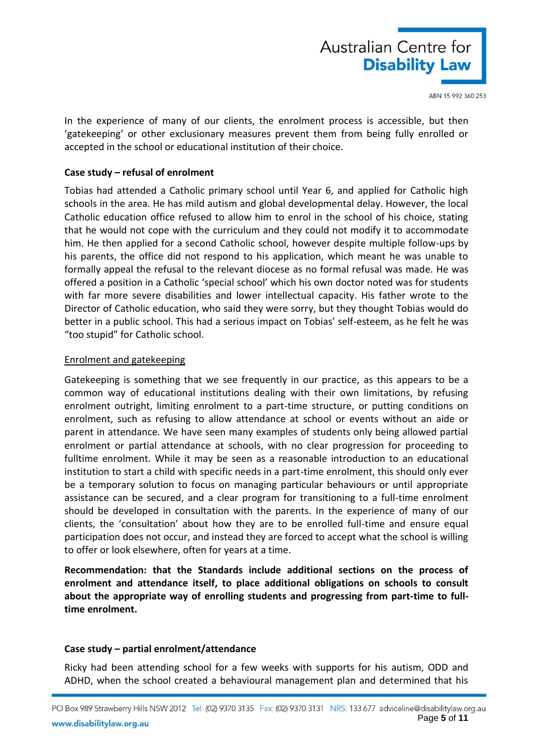

In the experience of many of our clients, the enrolment process is accessible, but then 'gatekeeping' or other exclusionary measures prevent them from being fully enrolled or accepted in the school or educational institution of their choice.

### **Case study – refusal of enrolment**

Tobias had attended a Catholic primary school until Year 6, and applied for Catholic high schools in the area. He has mild autism and global developmental delay. However, the local Catholic education office refused to allow him to enrol in the school of his choice, stating that he would not cope with the curriculum and they could not modify it to accommodate him. He then applied for a second Catholic school, however despite multiple follow-ups by his parents, the office did not respond to his application, which meant he was unable to formally appeal the refusal to the relevant diocese as no formal refusal was made. He was offered a position in a Catholic 'special school' which his own doctor noted was for students with far more severe disabilities and lower intellectual capacity. His father wrote to the Director of Catholic education, who said they were sorry, but they thought Tobias would do better in a public school. This had a serious impact on Tobias' self-esteem, as he felt he was "too stupid" for Catholic school.

### Enrolment and gatekeeping

Gatekeeping is something that we see frequently in our practice, as this appears to be a common way of educational institutions dealing with their own limitations, by refusing enrolment outright, limiting enrolment to a part-time structure, or putting conditions on enrolment, such as refusing to allow attendance at school or events without an aide or parent in attendance. We have seen many examples of students only being allowed partial enrolment or partial attendance at schools, with no clear progression for proceeding to fulltime enrolment. While it may be seen as a reasonable introduction to an educational institution to start a child with specific needs in a part-time enrolment, this should only ever be a temporary solution to focus on managing particular behaviours or until appropriate assistance can be secured, and a clear program for transitioning to a full-time enrolment should be developed in consultation with the parents. In the experience of many of our clients, the 'consultation' about how they are to be enrolled full-time and ensure equal participation does not occur, and instead they are forced to accept what the school is willing to offer or look elsewhere, often for years at a time.

**Recommendation: that the Standards include additional sections on the process of enrolment and attendance itself, to place additional obligations on schools to consult about the appropriate way of enrolling students and progressing from part-time to fulltime enrolment.**

## **Case study – partial enrolment/attendance**

Ricky had been attending school for a few weeks with supports for his autism, ODD and ADHD, when the school created a behavioural management plan and determined that his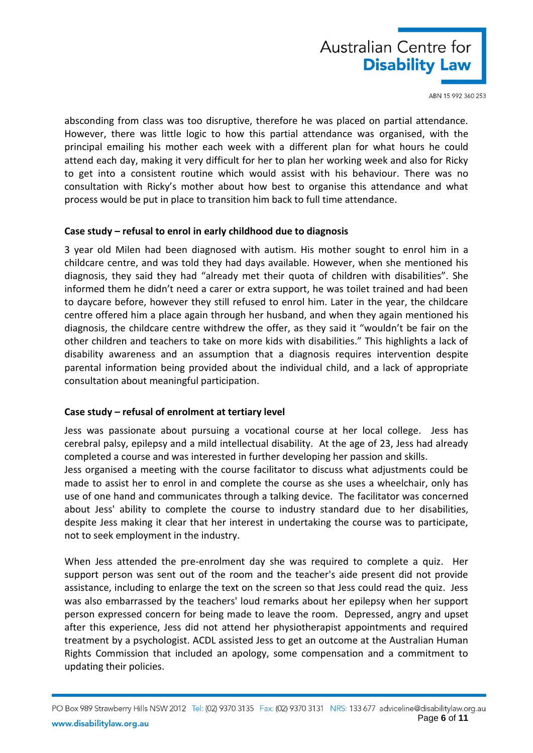

absconding from class was too disruptive, therefore he was placed on partial attendance. However, there was little logic to how this partial attendance was organised, with the principal emailing his mother each week with a different plan for what hours he could attend each day, making it very difficult for her to plan her working week and also for Ricky to get into a consistent routine which would assist with his behaviour. There was no consultation with Ricky's mother about how best to organise this attendance and what process would be put in place to transition him back to full time attendance.

### **Case study – refusal to enrol in early childhood due to diagnosis**

3 year old Milen had been diagnosed with autism. His mother sought to enrol him in a childcare centre, and was told they had days available. However, when she mentioned his diagnosis, they said they had "already met their quota of children with disabilities". She informed them he didn't need a carer or extra support, he was toilet trained and had been to daycare before, however they still refused to enrol him. Later in the year, the childcare centre offered him a place again through her husband, and when they again mentioned his diagnosis, the childcare centre withdrew the offer, as they said it "wouldn't be fair on the other children and teachers to take on more kids with disabilities." This highlights a lack of disability awareness and an assumption that a diagnosis requires intervention despite parental information being provided about the individual child, and a lack of appropriate consultation about meaningful participation.

## **Case study – refusal of enrolment at tertiary level**

Jess was passionate about pursuing a vocational course at her local college. Jess has cerebral palsy, epilepsy and a mild intellectual disability. At the age of 23, Jess had already completed a course and was interested in further developing her passion and skills.

Jess organised a meeting with the course facilitator to discuss what adjustments could be made to assist her to enrol in and complete the course as she uses a wheelchair, only has use of one hand and communicates through a talking device. The facilitator was concerned about Jess' ability to complete the course to industry standard due to her disabilities, despite Jess making it clear that her interest in undertaking the course was to participate, not to seek employment in the industry.

When Jess attended the pre-enrolment day she was required to complete a quiz. Her support person was sent out of the room and the teacher's aide present did not provide assistance, including to enlarge the text on the screen so that Jess could read the quiz. Jess was also embarrassed by the teachers' loud remarks about her epilepsy when her support person expressed concern for being made to leave the room. Depressed, angry and upset after this experience, Jess did not attend her physiotherapist appointments and required treatment by a psychologist. ACDL assisted Jess to get an outcome at the Australian Human Rights Commission that included an apology, some compensation and a commitment to updating their policies.

PO Box 989 Strawberry Hills NSW 2012 Tel: (02) 9370 3135 Fax: (02) 9370 3131 NRS: 133 677 adviceline@disabilitylaw.org.au Page **6** of **11** www.disabilitylaw.org.au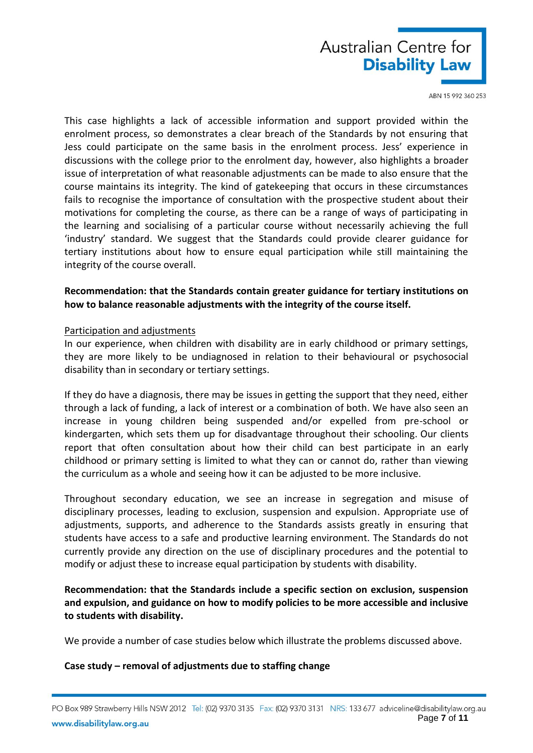

This case highlights a lack of accessible information and support provided within the enrolment process, so demonstrates a clear breach of the Standards by not ensuring that Jess could participate on the same basis in the enrolment process. Jess' experience in discussions with the college prior to the enrolment day, however, also highlights a broader issue of interpretation of what reasonable adjustments can be made to also ensure that the course maintains its integrity. The kind of gatekeeping that occurs in these circumstances fails to recognise the importance of consultation with the prospective student about their motivations for completing the course, as there can be a range of ways of participating in the learning and socialising of a particular course without necessarily achieving the full 'industry' standard. We suggest that the Standards could provide clearer guidance for tertiary institutions about how to ensure equal participation while still maintaining the integrity of the course overall.

## **Recommendation: that the Standards contain greater guidance for tertiary institutions on how to balance reasonable adjustments with the integrity of the course itself.**

#### Participation and adjustments

In our experience, when children with disability are in early childhood or primary settings, they are more likely to be undiagnosed in relation to their behavioural or psychosocial disability than in secondary or tertiary settings.

If they do have a diagnosis, there may be issues in getting the support that they need, either through a lack of funding, a lack of interest or a combination of both. We have also seen an increase in young children being suspended and/or expelled from pre-school or kindergarten, which sets them up for disadvantage throughout their schooling. Our clients report that often consultation about how their child can best participate in an early childhood or primary setting is limited to what they can or cannot do, rather than viewing the curriculum as a whole and seeing how it can be adjusted to be more inclusive.

Throughout secondary education, we see an increase in segregation and misuse of disciplinary processes, leading to exclusion, suspension and expulsion. Appropriate use of adjustments, supports, and adherence to the Standards assists greatly in ensuring that students have access to a safe and productive learning environment. The Standards do not currently provide any direction on the use of disciplinary procedures and the potential to modify or adjust these to increase equal participation by students with disability.

**Recommendation: that the Standards include a specific section on exclusion, suspension and expulsion, and guidance on how to modify policies to be more accessible and inclusive to students with disability.**

We provide a number of case studies below which illustrate the problems discussed above.

#### **Case study – removal of adjustments due to staffing change**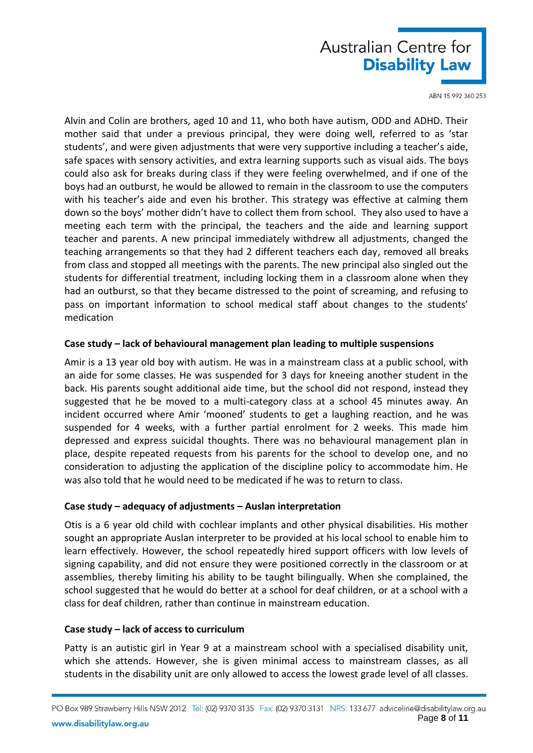

Alvin and Colin are brothers, aged 10 and 11, who both have autism, ODD and ADHD. Their mother said that under a previous principal, they were doing well, referred to as 'star students', and were given adjustments that were very supportive including a teacher's aide, safe spaces with sensory activities, and extra learning supports such as visual aids. The boys could also ask for breaks during class if they were feeling overwhelmed, and if one of the boys had an outburst, he would be allowed to remain in the classroom to use the computers with his teacher's aide and even his brother. This strategy was effective at calming them down so the boys' mother didn't have to collect them from school. They also used to have a meeting each term with the principal, the teachers and the aide and learning support teacher and parents. A new principal immediately withdrew all adjustments, changed the teaching arrangements so that they had 2 different teachers each day, removed all breaks from class and stopped all meetings with the parents. The new principal also singled out the students for differential treatment, including locking them in a classroom alone when they had an outburst, so that they became distressed to the point of screaming, and refusing to pass on important information to school medical staff about changes to the students' medication

### **Case study – lack of behavioural management plan leading to multiple suspensions**

Amir is a 13 year old boy with autism. He was in a mainstream class at a public school, with an aide for some classes. He was suspended for 3 days for kneeing another student in the back. His parents sought additional aide time, but the school did not respond, instead they suggested that he be moved to a multi-category class at a school 45 minutes away. An incident occurred where Amir 'mooned' students to get a laughing reaction, and he was suspended for 4 weeks, with a further partial enrolment for 2 weeks. This made him depressed and express suicidal thoughts. There was no behavioural management plan in place, despite repeated requests from his parents for the school to develop one, and no consideration to adjusting the application of the discipline policy to accommodate him. He was also told that he would need to be medicated if he was to return to class.

## **Case study – adequacy of adjustments – Auslan interpretation**

Otis is a 6 year old child with cochlear implants and other physical disabilities. His mother sought an appropriate Auslan interpreter to be provided at his local school to enable him to learn effectively. However, the school repeatedly hired support officers with low levels of signing capability, and did not ensure they were positioned correctly in the classroom or at assemblies, thereby limiting his ability to be taught bilingually. When she complained, the school suggested that he would do better at a school for deaf children, or at a school with a class for deaf children, rather than continue in mainstream education.

## **Case study – lack of access to curriculum**

Patty is an autistic girl in Year 9 at a mainstream school with a specialised disability unit, which she attends. However, she is given minimal access to mainstream classes, as all students in the disability unit are only allowed to access the lowest grade level of all classes.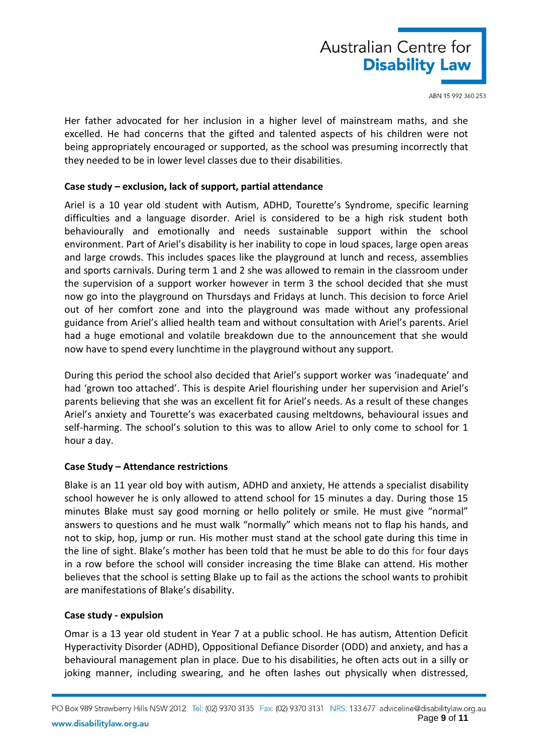

Her father advocated for her inclusion in a higher level of mainstream maths, and she excelled. He had concerns that the gifted and talented aspects of his children were not being appropriately encouraged or supported, as the school was presuming incorrectly that they needed to be in lower level classes due to their disabilities.

## **Case study – exclusion, lack of support, partial attendance**

Ariel is a 10 year old student with Autism, ADHD, Tourette's Syndrome, specific learning difficulties and a language disorder. Ariel is considered to be a high risk student both behaviourally and emotionally and needs sustainable support within the school environment. Part of Ariel's disability is her inability to cope in loud spaces, large open areas and large crowds. This includes spaces like the playground at lunch and recess, assemblies and sports carnivals. During term 1 and 2 she was allowed to remain in the classroom under the supervision of a support worker however in term 3 the school decided that she must now go into the playground on Thursdays and Fridays at lunch. This decision to force Ariel out of her comfort zone and into the playground was made without any professional guidance from Ariel's allied health team and without consultation with Ariel's parents. Ariel had a huge emotional and volatile breakdown due to the announcement that she would now have to spend every lunchtime in the playground without any support.

During this period the school also decided that Ariel's support worker was 'inadequate' and had 'grown too attached'. This is despite Ariel flourishing under her supervision and Ariel's parents believing that she was an excellent fit for Ariel's needs. As a result of these changes Ariel's anxiety and Tourette's was exacerbated causing meltdowns, behavioural issues and self-harming. The school's solution to this was to allow Ariel to only come to school for 1 hour a day.

## **Case Study – Attendance restrictions**

Blake is an 11 year old boy with autism, ADHD and anxiety, He attends a specialist disability school however he is only allowed to attend school for 15 minutes a day. During those 15 minutes Blake must say good morning or hello politely or smile. He must give "normal" answers to questions and he must walk "normally" which means not to flap his hands, and not to skip, hop, jump or run. His mother must stand at the school gate during this time in the line of sight. Blake's mother has been told that he must be able to do this for four days in a row before the school will consider increasing the time Blake can attend. His mother believes that the school is setting Blake up to fail as the actions the school wants to prohibit are manifestations of Blake's disability.

## **Case study - expulsion**

Omar is a 13 year old student in Year 7 at a public school. He has autism, Attention Deficit Hyperactivity Disorder (ADHD), Oppositional Defiance Disorder (ODD) and anxiety, and has a behavioural management plan in place. Due to his disabilities, he often acts out in a silly or joking manner, including swearing, and he often lashes out physically when distressed,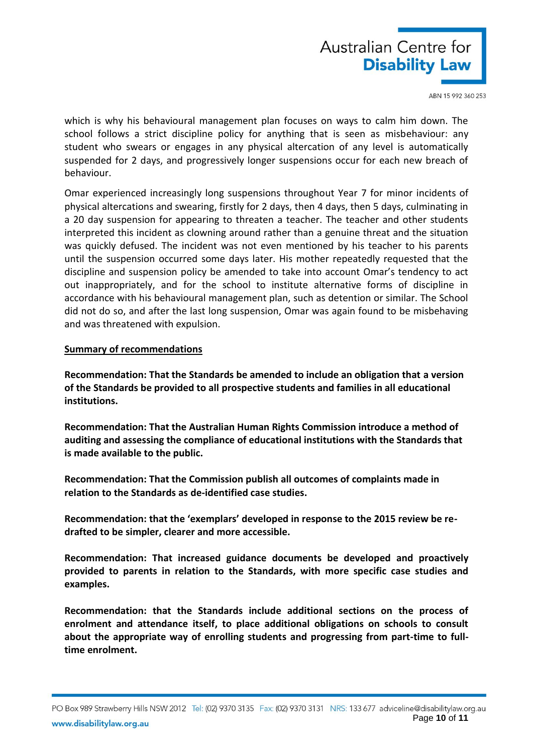

which is why his behavioural management plan focuses on ways to calm him down. The school follows a strict discipline policy for anything that is seen as misbehaviour: any student who swears or engages in any physical altercation of any level is automatically suspended for 2 days, and progressively longer suspensions occur for each new breach of behaviour.

Omar experienced increasingly long suspensions throughout Year 7 for minor incidents of physical altercations and swearing, firstly for 2 days, then 4 days, then 5 days, culminating in a 20 day suspension for appearing to threaten a teacher. The teacher and other students interpreted this incident as clowning around rather than a genuine threat and the situation was quickly defused. The incident was not even mentioned by his teacher to his parents until the suspension occurred some days later. His mother repeatedly requested that the discipline and suspension policy be amended to take into account Omar's tendency to act out inappropriately, and for the school to institute alternative forms of discipline in accordance with his behavioural management plan, such as detention or similar. The School did not do so, and after the last long suspension, Omar was again found to be misbehaving and was threatened with expulsion.

### **Summary of recommendations**

**Recommendation: That the Standards be amended to include an obligation that a version of the Standards be provided to all prospective students and families in all educational institutions.**

**Recommendation: That the Australian Human Rights Commission introduce a method of auditing and assessing the compliance of educational institutions with the Standards that is made available to the public.**

**Recommendation: That the Commission publish all outcomes of complaints made in relation to the Standards as de-identified case studies.**

**Recommendation: that the 'exemplars' developed in response to the 2015 review be redrafted to be simpler, clearer and more accessible.** 

**Recommendation: That increased guidance documents be developed and proactively provided to parents in relation to the Standards, with more specific case studies and examples.**

**Recommendation: that the Standards include additional sections on the process of enrolment and attendance itself, to place additional obligations on schools to consult about the appropriate way of enrolling students and progressing from part-time to fulltime enrolment.**